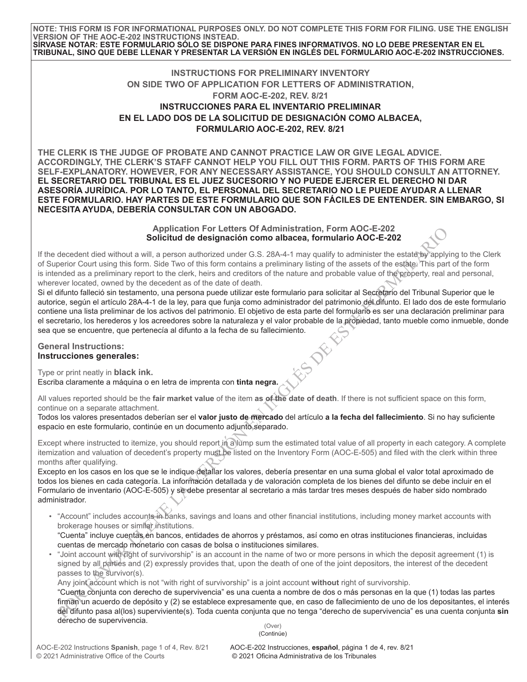**NOTE: THIS FORM IS FOR INFORMATIONAL PURPOSES ONLY. DO NOT COMPLETE THIS FORM FOR FILING. USE THE ENGLISH VERSION OF THE AOC-E-202 INSTRUCTIONS INSTEAD. SÍRVASE NOTAR: ESTE FORMULARIO SÓLO SE DISPONE PARA FINES INFORMATIVOS. NO LO DEBE PRESENTAR EN EL TRIBUNAL, SINO QUE DEBE LLENAR Y PRESENTAR LA VERSIÓN EN INGLÉS DEL FORMULARIO AOC-E-202 INSTRUCCIONES.**

## **INSTRUCTIONS FOR PRELIMINARY INVENTORY ON SIDE TWO OF APPLICATION FOR LETTERS OF ADMINISTRATION, FORM AOC-E-202, REV. 8/21 INSTRUCCIONES PARA EL INVENTARIO PRELIMINAR EN EL LADO DOS DE LA SOLICITUD DE DESIGNACIÓN COMO ALBACEA, FORMULARIO AOC-E-202, REV. 8/21**

**THE CLERK IS THE JUDGE OF PROBATE AND CANNOT PRACTICE LAW OR GIVE LEGAL ADVICE. ACCORDINGLY, THE CLERK'S STAFF CANNOT HELP YOU FILL OUT THIS FORM. PARTS OF THIS FORM ARE SELF-EXPLANATORY. HOWEVER, FOR ANY NECESSARY ASSISTANCE, YOU SHOULD CONSULT AN ATTORNEY. EL SECRETARIO DEL TRIBUNAL ES EL JUEZ SUCESORIO Y NO PUEDE EJERCER EL DERECHO NI DAR ASESORÍA JURÍDICA. POR LO TANTO, EL PERSONAL DEL SECRETARIO NO LE PUEDE AYUDAR A LLENAR ESTE FORMULARIO. HAY PARTES DE ESTE FORMULARIO QUE SON FÁCILES DE ENTENDER. SIN EMBARGO, SI NECESITA AYUDA, DEBERÍA CONSULTAR CON UN ABOGADO.**

> **Application For Letters Of Administration, Form AOC-E-202 Solicitud de designación como albacea, formulario AOC-E-202**

If the decedent died without a will, a person authorized under G.S. 28A-4-1 may qualify to administer the estate by applying to the Clerk of Superior Court using this form. Side Two of this form contains a preliminary listing of the assets of the estate. This part of the form is intended as a preliminary report to the clerk, heirs and creditors of the nature and probable value of the property, real and personal, wherever located, owned by the decedent as of the date of death.

Associated intervient and the method in the paper and more than the matter of Matterial Universation, Form ADCC-E-202<br>
Portion Court using this case and the summarized under G.S. 284-4-1 may quality to administer the estab Si el difunto falleció sin testamento, una persona puede utilizar este formulario para solicitar al Secretario del Tribunal Superior que le autorice, según el artículo 28A-4-1 de la ley, para que funja como administrador del patrimonio del difunto. El lado dos de este formulario contiene una lista preliminar de los activos del patrimonio. El objetivo de esta parte del formulario es ser una declaración preliminar para el secretario, los herederos y los acreedores sobre la naturaleza y el valor probable de la propiedad, tanto mueble como inmueble, donde

## **General Instructions: Instrucciones generales:**

sea que se encuentre, que pertenecía al difunto a la fecha de su fallecimiento.<br> **General Instructions:**<br> **Instrucciones generales:**<br>
Type or print neatly in **black ink**<br>
Escriba clear Type or print neatly in **black ink.** Escriba claramente a máquina o en letra de imprenta con **tinta negra.**

All values reported should be the **fair market value** of the item **as of the date of death**. If there is not sufficient space on this form, continue on a separate attachment.

Todos los valores presentados deberían ser el **valor justo de mercado** del artículo **a la fecha del fallecimiento**. Si no hay suficiente espacio en este formulario, continúe en un documento adjunto separado.

Except where instructed to itemize, you should report in a lump sum the estimated total value of all property in each category. A complete itemization and valuation of decedent's property must be listed on the Inventory Form (AOC-E-505) and filed with the clerk within three months after qualifying.

Excepto en los casos en los que se le indique detallar los valores, debería presentar en una suma global el valor total aproximado de todos los bienes en cada categoría. La información detallada y de valoración completa de los bienes del difunto se debe incluir en el Formulario de inventario (AOC-E-505) y se debe presentar al secretario a más tardar tres meses después de haber sido nombrado administrador.

• "Account" includes accounts in banks, savings and loans and other financial institutions, including money market accounts with brokerage houses or similar institutions.

"Cuenta" incluye cuentas en bancos, entidades de ahorros y préstamos, así como en otras instituciones financieras, incluidas cuentas de mercado monetario con casas de bolsa o instituciones similares.

• "Joint account with right of survivorship" is an account in the name of two or more persons in which the deposit agreement (1) is signed by all parties and (2) expressly provides that, upon the death of one of the joint depositors, the interest of the decedent passes to the survivor(s).

Any joint account which is not "with right of survivorship" is a joint account without right of survivorship.

 (Over) "Cuenta conjunta con derecho de supervivencia" es una cuenta a nombre de dos o más personas en la que (1) todas las partes firman un acuerdo de depósito y (2) se establece expresamente que, en caso de fallecimiento de uno de los depositantes, el interés del difunto pasa al(los) superviviente(s). Toda cuenta conjunta que no tenga "derecho de supervivencia" es una cuenta conjunta **sin** derecho de supervivencia.

(Continúe)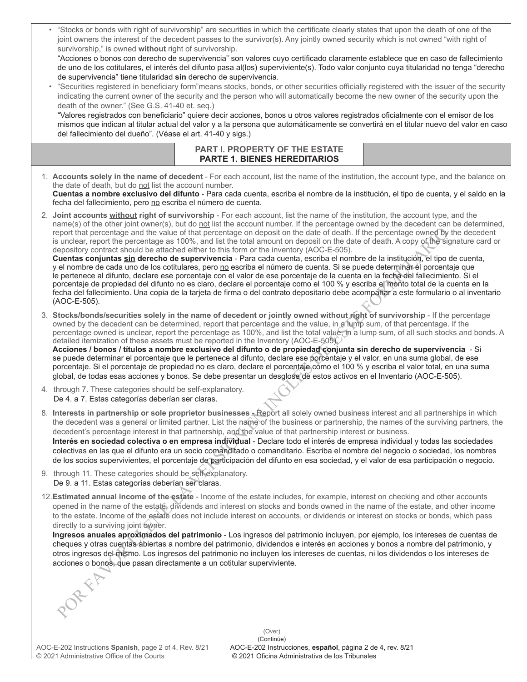|                                                                                                                                                                                                                                                                                                                                                                                                                                                                                                                                                                                                                                                                                                                                                                                                                                                                                                                                                                                                                                                                                                                                                                                                                                                                                                                                             | joint owners the interest of the decedent passes to the survivor(s). Any jointly owned security which is not owned "with right of<br>survivorship," is owned without right of survivorship.<br>"Acciones o bonos con derecho de supervivencia" son valores cuyo certificado claramente establece que en caso de fallecimiento<br>de uno de los cotitulares, el interés del difunto pasa al(los) superviviente(s). Todo valor conjunto cuya titularidad no tenga "derecho<br>de supervivencia" tiene titularidad sin derecho de supervivencia.<br>"Securities registered in beneficiary form"means stocks, bonds, or other securities officially registered with the issuer of the security<br>indicating the current owner of the security and the person who will automatically become the new owner of the security upon the<br>death of the owner." (See G.S. 41-40 et. seq.)<br>"Valores registrados con beneficiario" quiere decir acciones, bonos u otros valores registrados oficialmente con el emisor de los<br>mismos que indican al titular actual del valor y a la persona que automáticamente se convertirá en el titular nuevo del valor en caso<br>del fallecimiento del dueño". (Véase el art. 41-40 y sigs.) |  |  |
|---------------------------------------------------------------------------------------------------------------------------------------------------------------------------------------------------------------------------------------------------------------------------------------------------------------------------------------------------------------------------------------------------------------------------------------------------------------------------------------------------------------------------------------------------------------------------------------------------------------------------------------------------------------------------------------------------------------------------------------------------------------------------------------------------------------------------------------------------------------------------------------------------------------------------------------------------------------------------------------------------------------------------------------------------------------------------------------------------------------------------------------------------------------------------------------------------------------------------------------------------------------------------------------------------------------------------------------------|-------------------------------------------------------------------------------------------------------------------------------------------------------------------------------------------------------------------------------------------------------------------------------------------------------------------------------------------------------------------------------------------------------------------------------------------------------------------------------------------------------------------------------------------------------------------------------------------------------------------------------------------------------------------------------------------------------------------------------------------------------------------------------------------------------------------------------------------------------------------------------------------------------------------------------------------------------------------------------------------------------------------------------------------------------------------------------------------------------------------------------------------------------------------------------------------------------------------------------|--|--|
|                                                                                                                                                                                                                                                                                                                                                                                                                                                                                                                                                                                                                                                                                                                                                                                                                                                                                                                                                                                                                                                                                                                                                                                                                                                                                                                                             | PART I. PROPERTY OF THE ESTATE<br><b>PARTE 1. BIENES HEREDITARIOS</b>                                                                                                                                                                                                                                                                                                                                                                                                                                                                                                                                                                                                                                                                                                                                                                                                                                                                                                                                                                                                                                                                                                                                                         |  |  |
| the date of death, but do not list the account number.<br>fecha del fallecimiento, pero no escriba el número de cuenta.                                                                                                                                                                                                                                                                                                                                                                                                                                                                                                                                                                                                                                                                                                                                                                                                                                                                                                                                                                                                                                                                                                                                                                                                                     | 1. Accounts solely in the name of decedent - For each account, list the name of the institution, the account type, and the balance on<br>Cuentas a nombre exclusivo del difunto - Para cada cuenta, escriba el nombre de la institución, el tipo de cuenta, y el saldo en la                                                                                                                                                                                                                                                                                                                                                                                                                                                                                                                                                                                                                                                                                                                                                                                                                                                                                                                                                  |  |  |
| 2. Joint accounts without right of survivorship - For each account, list the name of the institution, the account type, and the<br>name(s) of the other joint owner(s), but do not list the account number. If the percentage owned by the decedent can be determined,<br>report that percentage and the value of that percentage on deposit on the date of death. If the percentage owned by the decedent<br>is unclear, report the percentage as 100%, and list the total amount on deposit on the date of death. A copy of the signature card or<br>depository contract should be attached either to this form or the inventory (AOC-E-505).<br>Cuentas conjuntas sin derecho de supervivencia - Para cada cuenta, escriba el nombre de la institución, el tipo de cuenta,<br>y el nombre de cada uno de los cotitulares, pero no escriba el número de cuenta. Si se puede determinar el porcentaje que<br>le pertenece al difunto, declare ese porcentaje con el valor de ese porcentaje de la cuenta en la fecha del fallecimiento. Si el<br>porcentaje de propiedad del difunto no es claro, declare el porcentaje como el 100 % y escriba el monto total de la cuenta en la<br>fecha del fallecimiento. Una copia de la tarjeta de firma o del contrato depositario debe acompañar a este formulario o al inventario<br>(AOC-E-505). |                                                                                                                                                                                                                                                                                                                                                                                                                                                                                                                                                                                                                                                                                                                                                                                                                                                                                                                                                                                                                                                                                                                                                                                                                               |  |  |
| 3. Stocks/bonds/securities solely in the name of decedent or jointly owned without right of survivorship - If the percentage<br>owned by the decedent can be determined, report that percentage and the value, in a lump sum, of that percentage. If the<br>percentage owned is unclear, report the percentage as 100%, and list the total value, in a lump sum, of all such stocks and bonds. A<br>detailed itemization of these assets must be reported in the Inventory (AOC-E-505).<br>Acciones / bonos / títulos a nombre exclusivo del difunto o de propiedad conjunta sin derecho de supervivencia - Si<br>se puede determinar el porcentaje que le pertenece al difunto, declare ese porcentaje y el valor, en una suma global, de ese<br>porcentaje. Si el porcentaje de propiedad no es claro, declare el porcentaje como el 100 % y escriba el valor total, en una suma<br>global, de todas esas acciones y bonos. Se debe presentar un desglose de estos activos en el Inventario (AOC-E-505).                                                                                                                                                                                                                                                                                                                                  |                                                                                                                                                                                                                                                                                                                                                                                                                                                                                                                                                                                                                                                                                                                                                                                                                                                                                                                                                                                                                                                                                                                                                                                                                               |  |  |
| 4. through 7. These categories should be self-explanatory.<br>De 4. a 7. Estas categorías deberían ser claras.                                                                                                                                                                                                                                                                                                                                                                                                                                                                                                                                                                                                                                                                                                                                                                                                                                                                                                                                                                                                                                                                                                                                                                                                                              |                                                                                                                                                                                                                                                                                                                                                                                                                                                                                                                                                                                                                                                                                                                                                                                                                                                                                                                                                                                                                                                                                                                                                                                                                               |  |  |
|                                                                                                                                                                                                                                                                                                                                                                                                                                                                                                                                                                                                                                                                                                                                                                                                                                                                                                                                                                                                                                                                                                                                                                                                                                                                                                                                             | 8. Interests in partnership or sole proprietor businesses - Report all solely owned business interest and all partnerships in which<br>the decedent was a general or limited partner. List the name of the business or partnership, the names of the surviving partners, the<br>decedent's percentage interest in that partnership, and the value of that partnership interest or business.<br>Interés en sociedad colectiva o en empresa individual - Declare todo el interés de empresa individual y todas las sociedades<br>colectivas en las que el difunto era un socio comanditado o comanditario. Escriba el nombre del negocio o sociedad, los nombres<br>de los socios supervivientes, el porcentaje de participación del difunto en esa sociedad, y el valor de esa participación o negocio.                                                                                                                                                                                                                                                                                                                                                                                                                        |  |  |
| 9. through 11. These categories should be self-explanatory.<br>De 9. a 11. Estas categorías deberían ser claras.                                                                                                                                                                                                                                                                                                                                                                                                                                                                                                                                                                                                                                                                                                                                                                                                                                                                                                                                                                                                                                                                                                                                                                                                                            |                                                                                                                                                                                                                                                                                                                                                                                                                                                                                                                                                                                                                                                                                                                                                                                                                                                                                                                                                                                                                                                                                                                                                                                                                               |  |  |
| directly to a surviving joint owner.<br>AFF                                                                                                                                                                                                                                                                                                                                                                                                                                                                                                                                                                                                                                                                                                                                                                                                                                                                                                                                                                                                                                                                                                                                                                                                                                                                                                 | 12. Estimated annual income of the estate - Income of the estate includes, for example, interest on checking and other accounts<br>opened in the name of the estate, dividends and interest on stocks and bonds owned in the name of the estate, and other income<br>to the estate. Income of the estate does not include interest on accounts, or dividends or interest on stocks or bonds, which pass<br>Ingresos anuales aproximados del patrimonio - Los ingresos del patrimonio incluyen, por ejemplo, los intereses de cuentas de<br>cheques y otras cuentas abiertas a nombre del patrimonio, dividendos e interés en acciones y bonos a nombre del patrimonio, y<br>otros ingresos del mismo. Los ingresos del patrimonio no incluyen los intereses de cuentas, ni los dividendos o los intereses de<br>acciones o bonós, que pasan directamente a un cotitular superviviente.                                                                                                                                                                                                                                                                                                                                        |  |  |

• "Stocks or bonds with right of survivorship" are securities in which the certificate clearly states that upon the death of one of the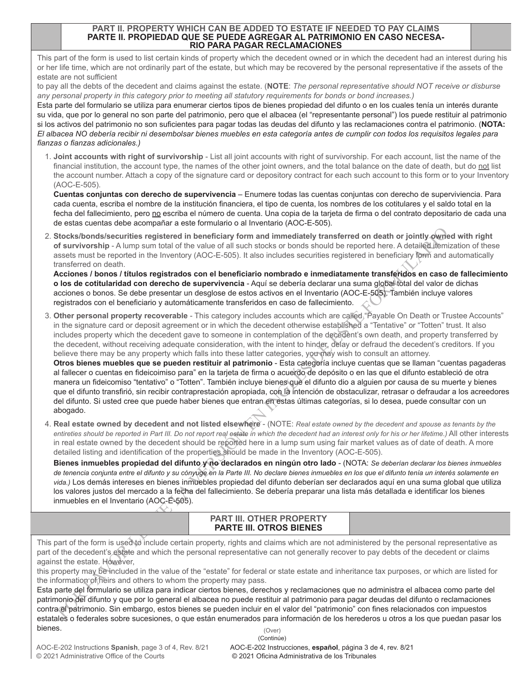## **PART II. PROPERTY WHICH CAN BE ADDED TO ESTATE IF NEEDED TO PAY CLAIMS PARTE II. PROPIEDAD QUE SE PUEDE AGREGAR AL PATRIMONIO EN CASO NECESA-RIO PARA PAGAR RECLAMACIONES**

This part of the form is used to list certain kinds of property which the decedent owned or in which the decedent had an interest during his or her life time, which are not ordinarily part of the estate, but which may be recovered by the personal representative if the assets of the estate are not sufficient

to pay all the debts of the decedent and claims against the estate. (**NOTE**: *The personal representative should NOT receive or disburse any personal property in this category prior to meeting all statutory requirements for bonds or bond increases.)*

Esta parte del formulario se utiliza para enumerar ciertos tipos de bienes propiedad del difunto o en los cuales tenía un interés durante su vida, que por lo general no son parte del patrimonio, pero que el albacea (el "representante personal") los puede restituir al patrimonio si los activos del patrimonio no son suficientes para pagar todas las deudas del difunto y las reclamaciones contra el patrimonio. (**NOTA:** *El albacea NO debería recibir ni desembolsar bienes muebles en esta categoría antes de cumplir con todos los requisitos legales para fianzas o fianzas adicionales.)*

1. **Joint accounts with right of survivorship** - List all joint accounts with right of survivorship. For each account, list the name of the financial institution, the account type, the names of the other joint owners, and the total balance on the date of death, but do not list the account number. Attach a copy of the signature card or depository contract for each such account to this form or to your Inventory (AOC-E-505).

 **Cuentas conjuntas con derecho de supervivencia** – Enumere todas las cuentas conjuntas con derecho de superviviencia. Para cada cuenta, escriba el nombre de la institución financiera, el tipo de cuenta, los nombres de los cotitulares y el saldo total en la fecha del fallecimiento, pero no escriba el número de cuenta. Una copia de la tarjeta de firma o del contrato depositario de cada una de estas cuentas debe acompañar a este formulario o al Inventario (AOC-E-505).

2. **Stocks/bonds/securities registered in beneficiary form and immediately transferred on death or jointly owned with right of survivorship** - A lump sum total of the value of all such stocks or bonds should be reported here. A detailed itemization of these assets must be reported in the Inventory (AOC-E-505). It also includes securities registered in beneficiary form and automatically transferred on death.

 **Acciones / bonos / títulos registrados con el beneficiario nombrado e inmediatamente transferidos en caso de fallecimiento o los de cotitularidad con derecho de supervivencia** - Aquí se debería declarar una suma global total del valor de dichas acciones o bonos. Se debe presentar un desglose de estos activos en el Inventario (AOC-E-505). También incluye valores registrados con el beneficiario y automáticamente transferidos en caso de fallecimiento.

3. **Other personal property recoverable** - This category includes accounts which are called "Payable On Death or Trustee Accounts" in the signature card or deposit agreement or in which the decedent otherwise established a "Tentative" or "Totten" trust. It also includes property which the decedent gave to someone in contemplation of the decedent's own death, and property transferred by the decedent, without receiving adequate consideration, with the intent to hinder, delay or defraud the decedent's creditors. If you believe there may be any property which falls into these latter categories, you may wish to consult an attorney.

Stocks/thouchies required in beneficting regime to mediating the material policies of dethar of the the state of dethar of the the state in the state of dethar of dethar of dethar of the state in the state in the state in **Otros bienes muebles que se pueden restituir al patrimonio** - Esta categoría incluye cuentas que se llaman "cuentas pagaderas al fallecer o cuentas en fideicoimiso para" en la tarjeta de firma o acuerdo de depósito o en las que el difunto estableció de otra manera un fideicomiso "tentativo" o "Totten". También incluye bienes que el difunto dio a alguien por causa de su muerte y bienes que el difunto transfirió, sin recibir contraprestación apropiada, con la intención de obstaculizar, retrasar o defraudar a los acreedores del difunto. Si usted cree que puede haber bienes que entran en estas últimas categorías, si lo desea, puede consultar con un abogado.

4. **Real estate owned by decedent and not listed elsewhere** - (NOTE: *Real estate owned by the decedent and spouse as tenants by the entireties should be reported in Part III. Do not report real estate in which the decedent had an interest only for his or her lifetime.)* All other interests in real estate owned by the decedent should be reported here in a lump sum using fair market values as of date of death. A more detailed listing and identification of the properties should be made in the Inventory (AOC-E-505).

 **Bienes inmuebles propiedad del difunto y no declarados en ningún otro lado** - (NOTA: *Se deberían declarar los bienes inmuebles de tenencia conjunta entre el difunto y su cónyuge en la Parte III. No declare bienes inmuebles en los que el difunto tenía un interés solamente en vida.)* Los demás intereses en bienes inmuebles propiedad del difunto deberían ser declarados aquí en una suma global que utiliza los valores justos del mercado a la fecha del fallecimiento. Se debería preparar una lista más detallada e identificar los bienes inmuebles en el Inventario (AOC-E-505).

| <b>PART III. OTHER PROPERTY</b> |  |
|---------------------------------|--|
| <b>PARTE III. OTROS BIENES</b>  |  |

This part of the form is used to include certain property, rights and claims which are not administered by the personal representative as part of the decedent's estate and which the personal representative can not generally recover to pay debts of the decedent or claims against the estate. However,

this property may be included in the value of the "estate" for federal or state estate and inheritance tax purposes, or which are listed for the information of heirs and others to whom the property may pass.

Esta parte del formulario se utiliza para indicar ciertos bienes, derechos y reclamaciones que no administra el albacea como parte del patrimonio del difunto y que por lo general el albacea no puede restituir al patrimonio para pagar deudas del difunto o reclamaciones contra el patrimonio. Sin embargo, estos bienes se pueden incluir en el valor del "patrimonio" con fines relacionados con impuestos estatales o federales sobre sucesiones, o que están enumerados para información de los herederos u otros a los que puedan pasar los bienes. (Over)

AOC-E-202 Instructions **Spanish**, page 3 of 4, Rev. 8/21 © 2021 Administrative Office of the Courts

AOC-E-202 Instrucciones, **español**, página 3 de 4, rev. 8/21 © 2021 Oficina Administrativa de los Tribunales (Continúe)